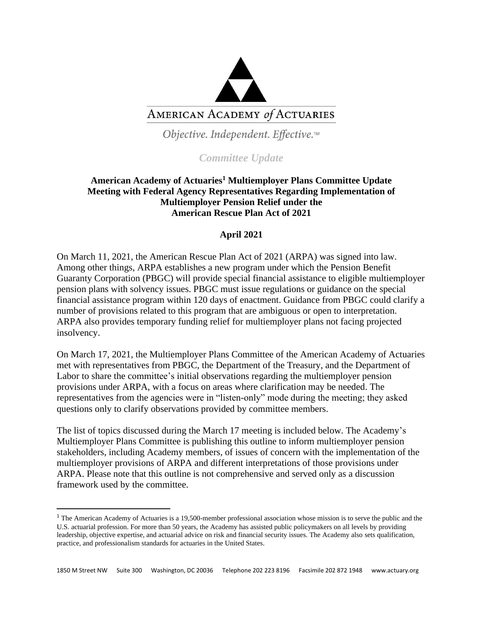

AMERICAN ACADEMY of ACTUARIES

Objective. Independent. Effective.™

*Committee Update*

## **American Academy of Actuaries<sup>1</sup> Multiemployer Plans Committee Update Meeting with Federal Agency Representatives Regarding Implementation of Multiemployer Pension Relief under the American Rescue Plan Act of 2021**

## **April 2021**

On March 11, 2021, the American Rescue Plan Act of 2021 (ARPA) was signed into law. Among other things, ARPA establishes a new program under which the Pension Benefit Guaranty Corporation (PBGC) will provide special financial assistance to eligible multiemployer pension plans with solvency issues. PBGC must issue regulations or guidance on the special financial assistance program within 120 days of enactment. Guidance from PBGC could clarify a number of provisions related to this program that are ambiguous or open to interpretation. ARPA also provides temporary funding relief for multiemployer plans not facing projected insolvency.

On March 17, 2021, the Multiemployer Plans Committee of the American Academy of Actuaries met with representatives from PBGC, the Department of the Treasury, and the Department of Labor to share the committee's initial observations regarding the multiemployer pension provisions under ARPA, with a focus on areas where clarification may be needed. The representatives from the agencies were in "listen-only" mode during the meeting; they asked questions only to clarify observations provided by committee members.

The list of topics discussed during the March 17 meeting is included below. The Academy's Multiemployer Plans Committee is publishing this outline to inform multiemployer pension stakeholders, including Academy members, of issues of concern with the implementation of the multiemployer provisions of ARPA and different interpretations of those provisions under ARPA. Please note that this outline is not comprehensive and served only as a discussion framework used by the committee.

<sup>&</sup>lt;sup>1</sup> The American Academy of Actuaries is a 19,500-member professional association whose mission is to serve the public and the U.S. actuarial profession. For more than 50 years, the Academy has assisted public policymakers on all levels by providing leadership, objective expertise, and actuarial advice on risk and financial security issues. The Academy also sets qualification, practice, and professionalism standards for actuaries in the United States.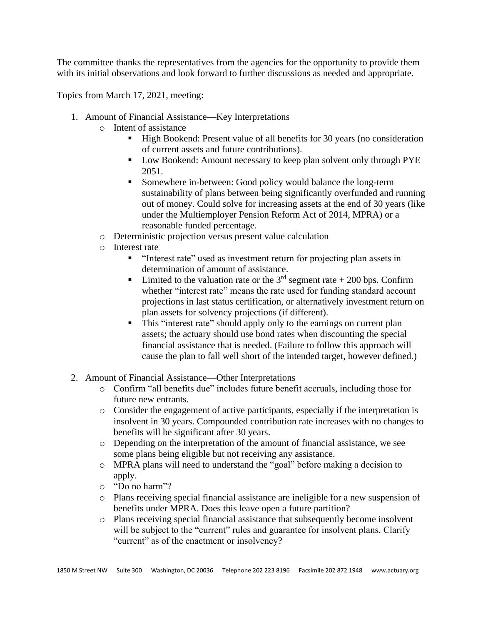The committee thanks the representatives from the agencies for the opportunity to provide them with its initial observations and look forward to further discussions as needed and appropriate.

Topics from March 17, 2021, meeting:

- 1. Amount of Financial Assistance—Key Interpretations
	- o Intent of assistance
		- High Bookend: Present value of all benefits for 30 years (no consideration of current assets and future contributions).
		- Low Bookend: Amount necessary to keep plan solvent only through PYE 2051.
		- Somewhere in-between: Good policy would balance the long-term sustainability of plans between being significantly overfunded and running out of money. Could solve for increasing assets at the end of 30 years (like under the Multiemployer Pension Reform Act of 2014, MPRA) or a reasonable funded percentage.
	- o Deterministic projection versus present value calculation
	- o Interest rate
		- "Interest rate" used as investment return for projecting plan assets in determination of amount of assistance.
		- **Example 1** Limited to the valuation rate or the 3<sup>rd</sup> segment rate + 200 bps. Confirm whether "interest rate" means the rate used for funding standard account projections in last status certification, or alternatively investment return on plan assets for solvency projections (if different).
		- This "interest rate" should apply only to the earnings on current plan assets; the actuary should use bond rates when discounting the special financial assistance that is needed. (Failure to follow this approach will cause the plan to fall well short of the intended target, however defined.)
- 2. Amount of Financial Assistance—Other Interpretations
	- o Confirm "all benefits due" includes future benefit accruals, including those for future new entrants.
	- o Consider the engagement of active participants, especially if the interpretation is insolvent in 30 years. Compounded contribution rate increases with no changes to benefits will be significant after 30 years.
	- o Depending on the interpretation of the amount of financial assistance, we see some plans being eligible but not receiving any assistance.
	- o MPRA plans will need to understand the "goal" before making a decision to apply.
	- o "Do no harm"?
	- o Plans receiving special financial assistance are ineligible for a new suspension of benefits under MPRA. Does this leave open a future partition?
	- o Plans receiving special financial assistance that subsequently become insolvent will be subject to the "current" rules and guarantee for insolvent plans. Clarify "current" as of the enactment or insolvency?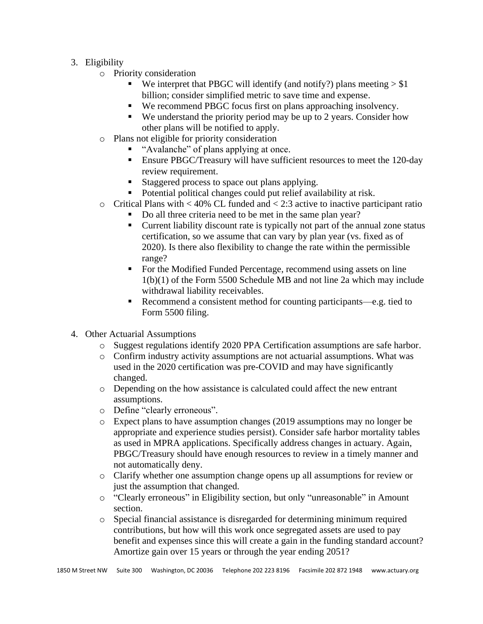- 3. Eligibility
	- o Priority consideration
		- **•** We interpret that PBGC will identify (and notify?) plans meeting  $> $1$ billion; consider simplified metric to save time and expense.
		- We recommend PBGC focus first on plans approaching insolvency.
		- We understand the priority period may be up to 2 years. Consider how other plans will be notified to apply.
	- o Plans not eligible for priority consideration
		- "Avalanche" of plans applying at once.
		- **Ensure PBGC/Treasury will have sufficient resources to meet the 120-day** review requirement.
		- Staggered process to space out plans applying.
		- Potential political changes could put relief availability at risk.
	- $\circ$  Critical Plans with < 40% CL funded and < 2:3 active to inactive participant ratio
		- Do all three criteria need to be met in the same plan year?
		- Current liability discount rate is typically not part of the annual zone status certification, so we assume that can vary by plan year (vs. fixed as of 2020). Is there also flexibility to change the rate within the permissible range?
		- For the Modified Funded Percentage, recommend using assets on line 1(b)(1) of the Form 5500 Schedule MB and not line 2a which may include withdrawal liability receivables.
		- Recommend a consistent method for counting participants—e.g. tied to Form 5500 filing.
- 4. Other Actuarial Assumptions
	- o Suggest regulations identify 2020 PPA Certification assumptions are safe harbor.
	- o Confirm industry activity assumptions are not actuarial assumptions. What was used in the 2020 certification was pre-COVID and may have significantly changed.
	- o Depending on the how assistance is calculated could affect the new entrant assumptions.
	- o Define "clearly erroneous".
	- $\circ$  Expect plans to have assumption changes (2019 assumptions may no longer be appropriate and experience studies persist). Consider safe harbor mortality tables as used in MPRA applications. Specifically address changes in actuary. Again, PBGC/Treasury should have enough resources to review in a timely manner and not automatically deny.
	- o Clarify whether one assumption change opens up all assumptions for review or just the assumption that changed.
	- o "Clearly erroneous" in Eligibility section, but only "unreasonable" in Amount section.
	- o Special financial assistance is disregarded for determining minimum required contributions, but how will this work once segregated assets are used to pay benefit and expenses since this will create a gain in the funding standard account? Amortize gain over 15 years or through the year ending 2051?